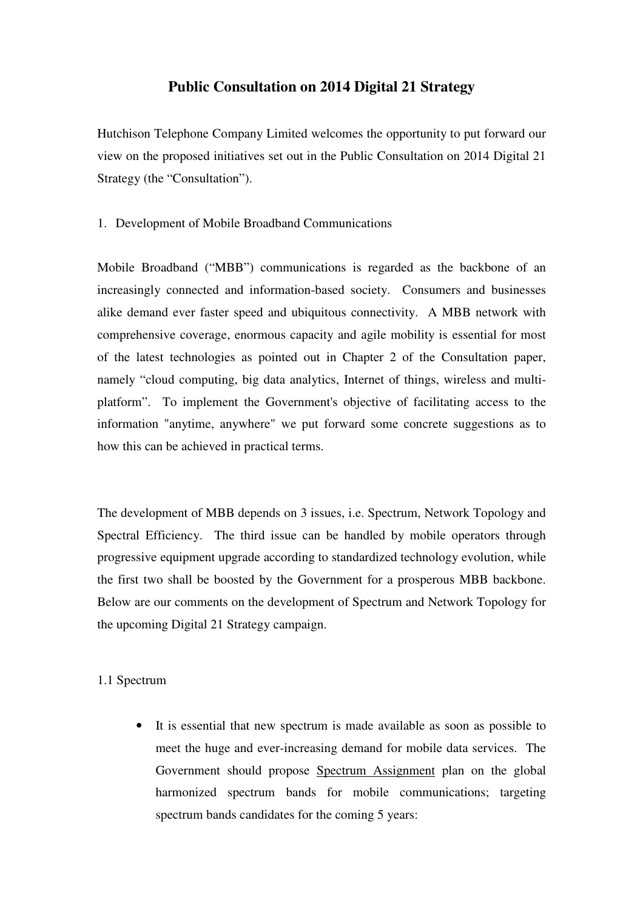## **Public Consultation on 2014 Digital 21 Strategy**

 Hutchison Telephone Company Limited welcomes the opportunity to put forward our view on the proposed initiatives set out in the Public Consultation on 2014 Digital 21 Strategy (the "Consultation").

## 1. Development of Mobile Broadband Communications

 Mobile Broadband ("MBB") communications is regarded as the backbone of an increasingly connected and information-based society. Consumers and businesses alike demand ever faster speed and ubiquitous connectivity. A MBB network with comprehensive coverage, enormous capacity and agile mobility is essential for most of the latest technologies as pointed out in Chapter 2 of the Consultation paper, namely "cloud computing, big data analytics, Internet of things, wireless and multi- platform". To implement the Government's objective of facilitating access to the information "anytime, anywhere" we put forward some concrete suggestions as to how this can be achieved in practical terms.

 The development of MBB depends on 3 issues, i.e. Spectrum, Network Topology and Spectral Efficiency. The third issue can be handled by mobile operators through progressive equipment upgrade according to standardized technology evolution, while the first two shall be boosted by the Government for a prosperous MBB backbone. Below are our comments on the development of Spectrum and Network Topology for the upcoming Digital 21 Strategy campaign.

## 1.1 Spectrum

 • It is essential that new spectrum is made available as soon as possible to meet the huge and ever-increasing demand for mobile data services. The Government should propose Spectrum Assignment plan on the global harmonized spectrum bands for mobile communications; targeting spectrum bands candidates for the coming 5 years: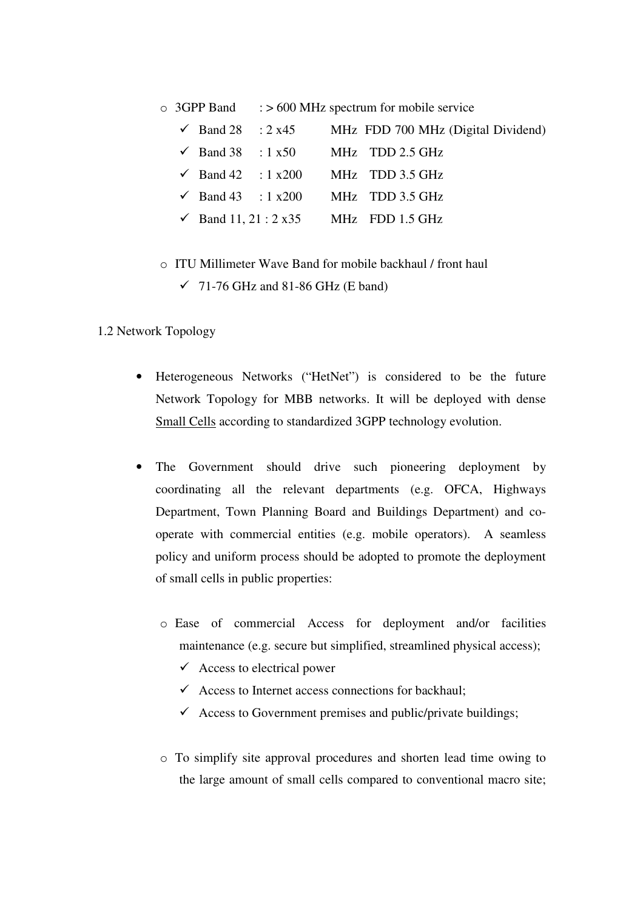$\circ$  3GPP Band  $\epsilon$  > 600 MHz spectrum for mobile service

|  | $\checkmark$ Band 28 : 2 x45 | MHz FDD 700 MHz (Digital Dividend)                |
|--|------------------------------|---------------------------------------------------|
|  |                              | $\checkmark$ Band 38 : 1 x50 MHz TDD 2.5 GHz      |
|  |                              | $\checkmark$ Band 42 : 1 x200 MHz TDD 3.5 GHz     |
|  |                              | $\checkmark$ Band 43 : 1 x200 MHz TDD 3.5 GHz     |
|  |                              | $\checkmark$ Band 11, 21 : 2 x 35 MHz FDD 1.5 GHz |

- o ITU Millimeter Wave Band for mobile backhaul / front haul
	- $\checkmark$  71-76 GHz and 81-86 GHz (E band)

## 1.2 Network Topology

- • Heterogeneous Networks ("HetNet") is considered to be the future Network Topology for MBB networks. It will be deployed with dense Small Cells according to standardized 3GPP technology evolution.
- The Government should drive such pioneering deployment by coordinating all the relevant departments (e.g. OFCA, Highways Department, Town Planning Board and Buildings Department) and co- operate with commercial entities (e.g. mobile operators). A seamless policy and uniform process should be adopted to promote the deployment of small cells in public properties:
	- o Ease of commercial Access for deployment and/or facilities maintenance (e.g. secure but simplified, streamlined physical access);
		- $\checkmark$  Access to electrical power
		- $\checkmark$  Access to Internet access connections for backhaul;
		- $\checkmark$  Access to Government premises and public/private buildings;
	- $\circ$  To simplify site approval procedures and shorten lead time owing to the large amount of small cells compared to conventional macro site;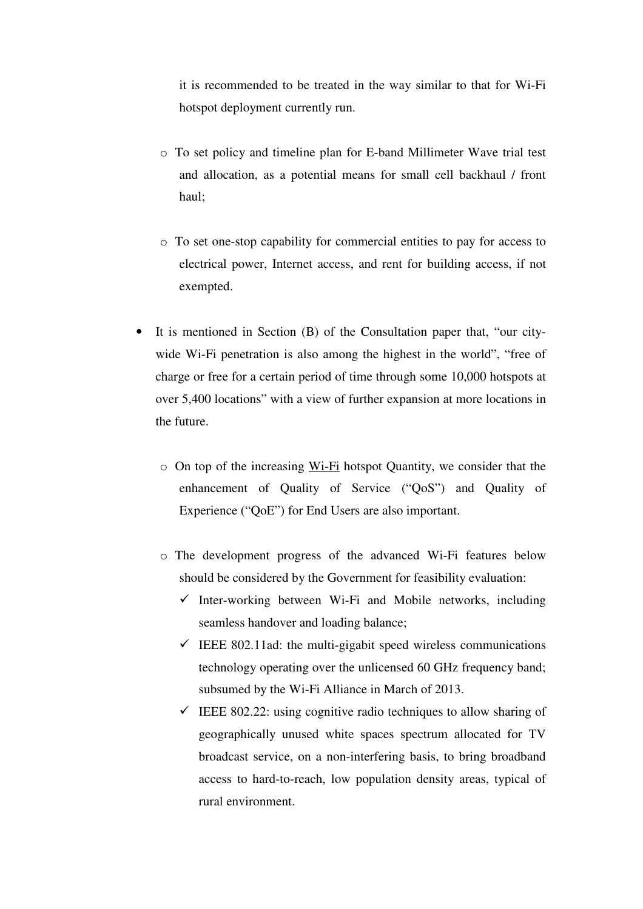it is recommended to be treated in the way similar to that for Wi-Fi hotspot deployment currently run.

- o To set policy and timeline plan for E-band Millimeter Wave trial test and allocation, as a potential means for small cell backhaul / front haul;
- o To set one-stop capability for commercial entities to pay for access to electrical power, Internet access, and rent for building access, if not exempted.
- • It is mentioned in Section (B) of the Consultation paper that, "our city- wide Wi-Fi penetration is also among the highest in the world", "free of charge or free for a certain period of time through some 10,000 hotspots at over 5,400 locations" with a view of further expansion at more locations in the future.
	- o On top of the increasing Wi-Fi hotspot Quantity, we consider that the enhancement of Quality of Service ("QoS") and Quality of Experience ("QoE") for End Users are also important.
	- o The development progress of the advanced Wi-Fi features below should be considered by the Government for feasibility evaluation:
		- $\checkmark$  Inter-working between Wi-Fi and Mobile networks, including seamless handover and loading balance;
		- $\checkmark$  IEEE 802.11ad: the multi-gigabit speed wireless communications technology operating over the unlicensed 60 GHz frequency band; subsumed by the Wi-Fi Alliance in March of 2013.
		- $\checkmark$  IEEE 802.22: using cognitive radio techniques to allow sharing of geographically unused white spaces spectrum allocated for TV broadcast service, on a non-interfering basis, to bring broadband access to hard-to-reach, low population density areas, typical of rural environment.